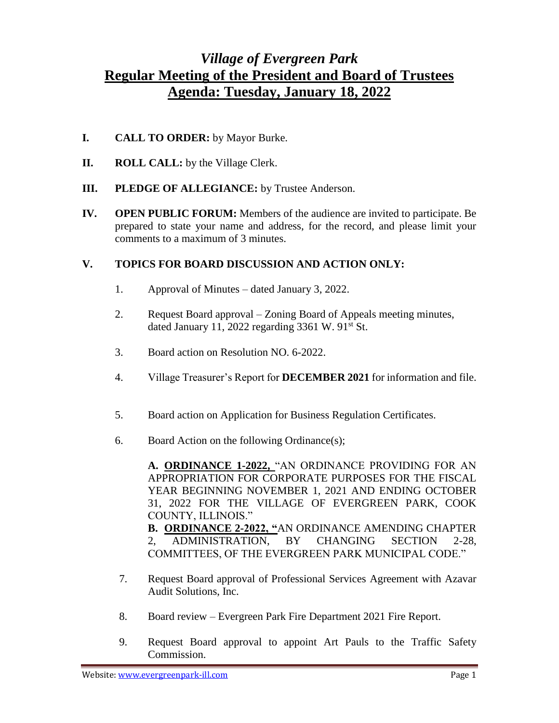## *Village of Evergreen Park* **Regular Meeting of the President and Board of Trustees Agenda: Tuesday, January 18, 2022**

- **I. CALL TO ORDER:** by Mayor Burke.
- **II. ROLL CALL:** by the Village Clerk.
- **III. PLEDGE OF ALLEGIANCE:** by Trustee Anderson.
- **IV. OPEN PUBLIC FORUM:** Members of the audience are invited to participate. Be prepared to state your name and address, for the record, and please limit your comments to a maximum of 3 minutes.

## **V. TOPICS FOR BOARD DISCUSSION AND ACTION ONLY:**

- 1. Approval of Minutes dated January 3, 2022.
- 2. Request Board approval Zoning Board of Appeals meeting minutes, dated January 11, 2022 regarding  $3361 \text{ W}$ .  $91^{\text{st}}$  St.
- 3. Board action on Resolution NO. 6-2022.
- 4. Village Treasurer's Report for **DECEMBER 2021** for information and file.
- 5. Board action on Application for Business Regulation Certificates.
- 6. Board Action on the following Ordinance(s);

**A. ORDINANCE 1-2022,** "AN ORDINANCE PROVIDING FOR AN APPROPRIATION FOR CORPORATE PURPOSES FOR THE FISCAL YEAR BEGINNING NOVEMBER 1, 2021 AND ENDING OCTOBER 31, 2022 FOR THE VILLAGE OF EVERGREEN PARK, COOK COUNTY, ILLINOIS."

**B. ORDINANCE 2-2022, "**AN ORDINANCE AMENDING CHAPTER 2, ADMINISTRATION, BY CHANGING SECTION 2-28, COMMITTEES, OF THE EVERGREEN PARK MUNICIPAL CODE."

- 7. Request Board approval of Professional Services Agreement with Azavar Audit Solutions, Inc.
- 8. Board review Evergreen Park Fire Department 2021 Fire Report.
- 9. Request Board approval to appoint Art Pauls to the Traffic Safety Commission.